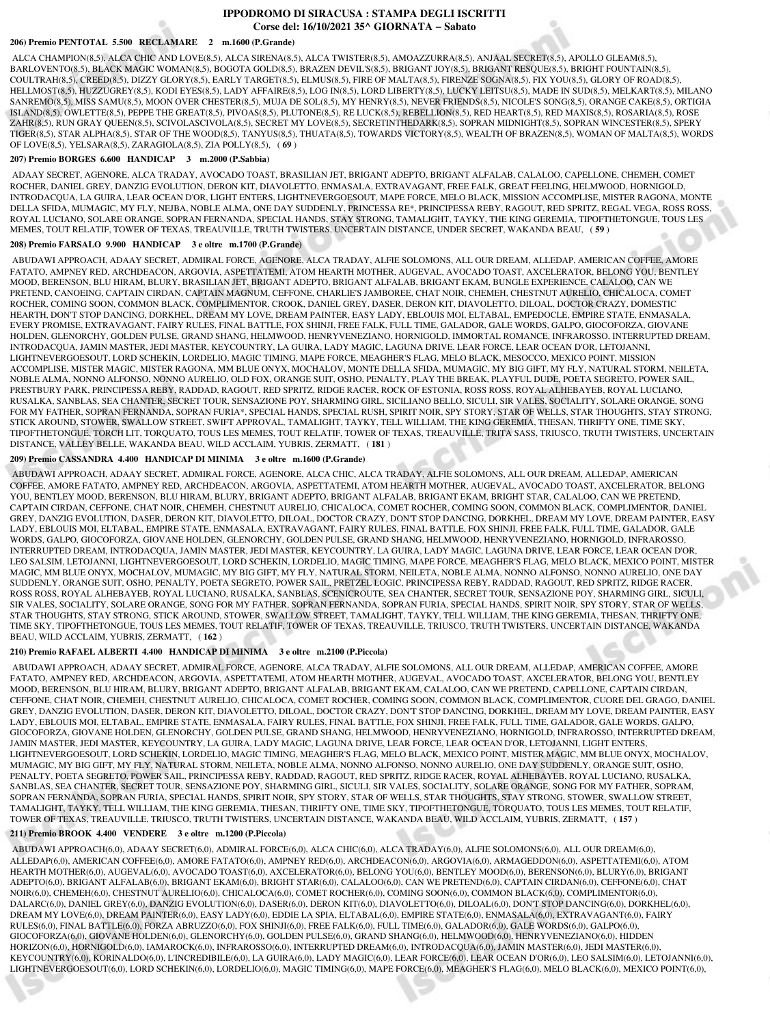# **IPPODROMO DI SIRACUSA : STAMPA DEGLI ISCRITTI Corse del: 16/10/2021 35^ GIORNATA − Sabato**

#### **206) Premio PENTOTAL 5.500 RECLAMARE 2 m.1600 (P.Grande)**

 ALCA CHAMPION(8,5), ALCA CHIC AND LOVE(8,5), ALCA SIRENA(8,5), ALCA TWISTER(8,5), AMOAZZURRA(8,5), ANJAAL SECRET(8,5), APOLLO GLEAM(8,5), BARLOVENTO(8,5), BLACK MAGIC WOMAN(8,5), BOGOTA GOLD(8,5), BRAZEN DEVIL'S(8,5), BRIGANT JOY(8,5), BRIGANT RESQUE(8,5), BRIGHT FOUNTAIN(8,5), COULTRAH(8,5), CREED(8,5), DIZZY GLORY(8,5), EARLY TARGET(8,5), ELMUS(8,5), FIRE OF MALTA(8,5), FIRENZE SOGNA(8,5), FIX YOU(8,5), GLORY OF ROAD(8,5), HELLMOST(8,5), HUZZUGREY(8,5), KODI EYES(8,5), LADY AFFAIRE(8,5), LOG IN(8,5), LORD LIBERTY(8,5), LUCKY LEITSU(8,5), MADE IN SUD(8,5), MELKART(8,5), MILANO SANREMO(8,5), MISS SAMU(8,5), MOON OVER CHESTER(8,5), MUJA DE SOL(8,5), MY HENRY(8,5), NEVER FRIENDS(8,5), NICOLE'S SONG(8,5), ORANGE CAKE(8,5), ORTIGIA ISLAND(8,5), OWLETTE(8,5), PEPPE THE GREAT(8,5), PIVOAS(8,5), PLUTONE(8,5), RE LUCK(8,5), REBELLION(8,5), RED HEART(8,5), RED MAXIS(8,5), ROSARIA(8,5), ROSE ZAHR(8,5), RUN GRAY QUEEN(8,5), SCIVOLASCIVOLA(8,5), SECRET MY LOVE(8,5), SECRETINTHEDARK(8,5), SOPRAN MIDNIGHT(8,5), SOPRAN WINCESTER(8,5), SPERY TIGER(8,5), STAR ALPHA(8,5), STAR OF THE WOOD(8,5), TANYUS(8,5), THUATA(8,5), TOWARDS VICTORY(8,5), WEALTH OF BRAZEN(8,5), WOMAN OF MALTA(8,5), WORDS OF LOVE(8,5), YELSARA(8,5), ZARAGIOLA(8,5), ZIA POLLY(8,5), ( **69** )

#### **207) Premio BORGES 6.600 HANDICAP 3 m.2000 (P.Sabbia)**

 ADAAY SECRET, AGENORE, ALCA TRADAY, AVOCADO TOAST, BRASILIAN JET, BRIGANT ADEPTO, BRIGANT ALFALAB, CALALOO, CAPELLONE, CHEMEH, COMET ROCHER, DANIEL GREY, DANZIG EVOLUTION, DERON KIT, DIAVOLETTO, ENMASALA, EXTRAVAGANT, FREE FALK, GREAT FEELING, HELMWOOD, HORNIGOLD, INTRODACQUA, LA GUIRA, LEAR OCEAN D'OR, LIGHT ENTERS, LIGHTNEVERGOESOUT, MAPE FORCE, MELO BLACK, MISSION ACCOMPLISE, MISTER RAGONA, MONTE DELLA SFIDA, MUMAGIC, MY FLY, NEJBA, NOBLE ALMA, ONE DAY SUDDENLY, PRINCESSA RE\*, PRINCIPESSA REBY, RAGOUT, RED SPRITZ, REGAL VEGA, ROSS ROSS, ROYAL LUCIANO, SOLARE ORANGE, SOPRAN FERNANDA, SPECIAL HANDS, STAY STRONG, TAMALIGHT, TAYKY, THE KING GEREMIA, TIPOFTHETONGUE, TOUS LES MEMES, TOUT RELATIF, TOWER OF TEXAS, TREAUVILLE, TRUTH TWISTERS, UNCERTAIN DISTANCE, UNDER SECRET, WAKANDA BEAU, ( **59** )

#### **208) Premio FARSALO 9.900 HANDICAP 3 e oltre m.1700 (P.Grande)**

 ABUDAWI APPROACH, ADAAY SECRET, ADMIRAL FORCE, AGENORE, ALCA TRADAY, ALFIE SOLOMONS, ALL OUR DREAM, ALLEDAP, AMERICAN COFFEE, AMORE FATATO, AMPNEY RED, ARCHDEACON, ARGOVIA, ASPETTATEMI, ATOM HEARTH MOTHER, AUGEVAL, AVOCADO TOAST, AXCELERATOR, BELONG YOU, BENTLEY MOOD, BERENSON, BLU HIRAM, BLURY, BRASILIAN JET, BRIGANT ADEPTO, BRIGANT ALFALAB, BRIGANT EKAM, BUNGLE EXPERIENCE, CALALOO, CAN WE PRETEND, CANOEING, CAPTAIN CIRDAN, CAPTAIN MAGNUM, CEFFONE, CHARLIE'S JAMBOREE, CHAT NOIR, CHEMEH, CHESTNUT AURELIO, CHICALOCA, COMET ROCHER, COMING SOON, COMMON BLACK, COMPLIMENTOR, CROOK, DANIEL GREY, DASER, DERON KIT, DIAVOLETTO, DILOAL, DOCTOR CRAZY, DOMESTIC HEARTH, DON'T STOP DANCING, DORKHEL, DREAM MY LOVE, DREAM PAINTER, EASY LADY, EBLOUIS MOI, ELTABAL, EMPEDOCLE, EMPIRE STATE, ENMASALA, EVERY PROMISE, EXTRAVAGANT, FAIRY RULES, FINAL BATTLE, FOX SHINJI, FREE FALK, FULL TIME, GALADOR, GALE WORDS, GALPO, GIOCOFORZA, GIOVANE HOLDEN, GLENORCHY, GOLDEN PULSE, GRAND SHANG, HELMWOOD, HENRYVENEZIANO, HORNIGOLD, IMMORTAL ROMANCE, INFRAROSSO, INTERRUPTED DREAM, INTRODACQUA, JAMIN MASTER, JEDI MASTER, KEYCOUNTRY, LA GUIRA, LADY MAGIC, LAGUNA DRIVE, LEAR FORCE, LEAR OCEAN D'OR, LETOJANNI, LIGHTNEVERGOESOUT, LORD SCHEKIN, LORDELIO, MAGIC TIMING, MAPE FORCE, MEAGHER'S FLAG, MELO BLACK, MESOCCO, MEXICO POINT, MISSION ACCOMPLISE, MISTER MAGIC, MISTER RAGONA, MM BLUE ONYX, MOCHALOV, MONTE DELLA SFIDA, MUMAGIC, MY BIG GIFT, MY FLY, NATURAL STORM, NEILETA, NOBLE ALMA, NONNO ALFONSO, NONNO AURELIO, OLD FOX, ORANGE SUIT, OSHO, PENALTY, PLAY THE BREAK, PLAYFUL DUDE, POETA SEGRETO, POWER SAIL, PRESTBURY PARK, PRINCIPESSA REBY, RADDAD, RAGOUT, RED SPRITZ, RIDGE RACER, ROCK OF ESTONIA, ROSS ROSS, ROYAL ALHEBAYEB, ROYAL LUCIANO, RUSALKA, SANBLAS, SEA CHANTER, SECRET TOUR, SENSAZIONE POY, SHARMING GIRL, SICILIANO BELLO, SICULI, SIR VALES, SOCIALITY, SOLARE ORANGE, SONG FOR MY FATHER, SOPRAN FERNANDA, SOPRAN FURIA\*, SPECIAL HANDS, SPECIAL RUSH, SPIRIT NOIR, SPY STORY, STAR OF WELLS, STAR THOUGHTS, STAY STRONG, STICK AROUND, STOWER, SWALLOW STREET, SWIFT APPROVAL, TAMALIGHT, TAYKY, TELL WILLIAM, THE KING GEREMIA, THESAN, THRIFTY ONE, TIME SKY, TIPOFTHETONGUE, TORCH LIT, TORQUATO, TOUS LES MEMES, TOUT RELATIF, TOWER OF TEXAS, TREAUVILLE, TRITA SASS, TRIUSCO, TRUTH TWISTERS, UNCERTAIN DISTANCE, VALLEY BELLE, WAKANDA BEAU, WILD ACCLAIM, YUBRIS, ZERMATT, ( **181** )

#### **209) Premio CASSANDRA 4.400 HANDICAP DI MINIMA 3 e oltre m.1600 (P.Grande)**

 ABUDAWI APPROACH, ADAAY SECRET, ADMIRAL FORCE, AGENORE, ALCA CHIC, ALCA TRADAY, ALFIE SOLOMONS, ALL OUR DREAM, ALLEDAP, AMERICAN COFFEE, AMORE FATATO, AMPNEY RED, ARCHDEACON, ARGOVIA, ASPETTATEMI, ATOM HEARTH MOTHER, AUGEVAL, AVOCADO TOAST, AXCELERATOR, BELONG YOU, BENTLEY MOOD, BERENSON, BLU HIRAM, BLURY, BRIGANT ADEPTO, BRIGANT ALFALAB, BRIGANT EKAM, BRIGHT STAR, CALALOO, CAN WE PRETEND, CAPTAIN CIRDAN, CEFFONE, CHAT NOIR, CHEMEH, CHESTNUT AURELIO, CHICALOCA, COMET ROCHER, COMING SOON, COMMON BLACK, COMPLIMENTOR, DANIEL GREY, DANZIG EVOLUTION, DASER, DERON KIT, DIAVOLETTO, DILOAL, DOCTOR CRAZY, DON'T STOP DANCING, DORKHEL, DREAM MY LOVE, DREAM PAINTER, EASY LADY, EBLOUIS MOI, ELTABAL, EMPIRE STATE, ENMASALA, EXTRAVAGANT, FAIRY RULES, FINAL BATTLE, FOX SHINJI, FREE FALK, FULL TIME, GALADOR, GALE WORDS, GALPO, GIOCOFORZA, GIOVANE HOLDEN, GLENORCHY, GOLDEN PULSE, GRAND SHANG, HELMWOOD, HENRYVENEZIANO, HORNIGOLD, INFRAROSSO, INTERRUPTED DREAM, INTRODACQUA, JAMIN MASTER, JEDI MASTER, KEYCOUNTRY, LA GUIRA, LADY MAGIC, LAGUNA DRIVE, LEAR FORCE, LEAR OCEAN D'OR, LEO SALSIM, LETOJANNI, LIGHTNEVERGOESOUT, LORD SCHEKIN, LORDELIO, MAGIC TIMING, MAPE FORCE, MEAGHER'S FLAG, MELO BLACK, MEXICO POINT, MISTER MAGIC, MM BLUE ONYX, MOCHALOV, MUMAGIC, MY BIG GIFT, MY FLY, NATURAL STORM, NEILETA, NOBLE ALMA, NONNO ALFONSO, NONNO AURELIO, ONE DAY SUDDENLY, ORANGE SUIT, OSHO, PENALTY, POETA SEGRETO, POWER SAIL, PRETZEL LOGIC, PRINCIPESSA REBY, RADDAD, RAGOUT, RED SPRITZ, RIDGE RACER, ROSS ROSS, ROYAL ALHEBAYEB, ROYAL LUCIANO, RUSALKA, SANBLAS, SCENICROUTE, SEA CHANTER, SECRET TOUR, SENSAZIONE POY, SHARMING GIRL, SICULI, SIR VALES, SOCIALITY, SOLARE ORANGE, SONG FOR MY FATHER, SOPRAN FERNANDA, SOPRAN FURIA, SPECIAL HANDS, SPIRIT NOIR, SPY STORY, STAR OF WELLS, STAR THOUGHTS, STAY STRONG, STICK AROUND, STOWER, SWALLOW STREET, TAMALIGHT, TAYKY, TELL WILLIAM, THE KING GEREMIA, THESAN, THRIFTY ONE, TIME SKY, TIPOFTHETONGUE, TOUS LES MEMES, TOUT RELATIF, TOWER OF TEXAS, TREAUVILLE, TRIUSCO, TRUTH TWISTERS, UNCERTAIN DISTANCE, WAKANDA BEAU, WILD ACCLAIM, YUBRIS, ZERMATT, ( **162** )

### **210) Premio RAFAEL ALBERTI 4.400 HANDICAP DI MINIMA 3 e oltre m.2100 (P.Piccola)**

 ABUDAWI APPROACH, ADAAY SECRET, ADMIRAL FORCE, AGENORE, ALCA TRADAY, ALFIE SOLOMONS, ALL OUR DREAM, ALLEDAP, AMERICAN COFFEE, AMORE FATATO, AMPNEY RED, ARCHDEACON, ARGOVIA, ASPETTATEMI, ATOM HEARTH MOTHER, AUGEVAL, AVOCADO TOAST, AXCELERATOR, BELONG YOU, BENTLEY MOOD, BERENSON, BLU HIRAM, BLURY, BRIGANT ADEPTO, BRIGANT ALFALAB, BRIGANT EKAM, CALALOO, CAN WE PRETEND, CAPELLONE, CAPTAIN CIRDAN, CEFFONE, CHAT NOIR, CHEMEH, CHESTNUT AURELIO, CHICALOCA, COMET ROCHER, COMING SOON, COMMON BLACK, COMPLIMENTOR, CUORE DEL GRAGO, DANIEL GREY, DANZIG EVOLUTION, DASER, DERON KIT, DIAVOLETTO, DILOAL, DOCTOR CRAZY, DON'T STOP DANCING, DORKHEL, DREAM MY LOVE, DREAM PAINTER, EASY LADY, EBLOUIS MOI, ELTABAL, EMPIRE STATE, ENMASALA, FAIRY RULES, FINAL BATTLE, FOX SHINJI, FREE FALK, FULL TIME, GALADOR, GALE WORDS, GALPO, GIOCOFORZA, GIOVANE HOLDEN, GLENORCHY, GOLDEN PULSE, GRAND SHANG, HELMWOOD, HENRYVENEZIANO, HORNIGOLD, INFRAROSSO, INTERRUPTED DREAM, JAMIN MASTER, JEDI MASTER, KEYCOUNTRY, LA GUIRA, LADY MAGIC, LAGUNA DRIVE, LEAR FORCE, LEAR OCEAN D'OR, LETOJANNI, LIGHT ENTERS, LIGHTNEVERGOESOUT, LORD SCHEKIN, LORDELIO, MAGIC TIMING, MEAGHER'S FLAG, MELO BLACK, MEXICO POINT, MISTER MAGIC, MM BLUE ONYX, MOCHALOV, MUMAGIC, MY BIG GIFT, MY FLY, NATURAL STORM, NEILETA, NOBLE ALMA, NONNO ALFONSO, NONNO AURELIO, ONE DAY SUDDENLY, ORANGE SUIT, OSHO, PENALTY, POETA SEGRETO, POWER SAIL, PRINCIPESSA REBY, RADDAD, RAGOUT, RED SPRITZ, RIDGE RACER, ROYAL ALHEBAYEB, ROYAL LUCIANO, RUSALKA, SANBLAS, SEA CHANTER, SECRET TOUR, SENSAZIONE POY, SHARMING GIRL, SICULI, SIR VALES, SOCIALITY, SOLARE ORANGE, SONG FOR MY FATHER, SOPRAM, SOPRAN FERNANDA, SOPRAN FURIA, SPECIAL HANDS, SPIRIT NOIR, SPY STORY, STAR OF WELLS, STAR THOUGHTS, STAY STRONG, STOWER, SWALLOW STREET, TAMALIGHT, TAYKY, TELL WILLIAM, THE KING GEREMIA, THESAN, THRIFTY ONE, TIME SKY, TIPOFTHETONGUE, TORQUATO, TOUS LES MEMES, TOUT RELATIF, TOWER OF TEXAS, TREAUVILLE, TRIUSCO, TRUTH TWISTERS, UNCERTAIN DISTANCE, WAKANDA BEAU, WILD ACCLAIM, YUBRIS, ZERMATT, ( **157** )

## **211) Premio BROOK 4.400 VENDERE 3 e oltre m.1200 (P.Piccola)**

 ABUDAWI APPROACH(6,0), ADAAY SECRET(6,0), ADMIRAL FORCE(6,0), ALCA CHIC(6,0), ALCA TRADAY(6,0), ALFIE SOLOMONS(6,0), ALL OUR DREAM(6,0), ALLEDAP(6,0), AMERICAN COFFEE(6,0), AMORE FATATO(6,0), AMPNEY RED(6,0), ARCHDEACON(6,0), ARGOVIA(6,0), ARMAGEDDON(6,0), ASPETTATEMI(6,0), ATOM HEARTH MOTHER(6,0), AUGEVAL(6,0), AVOCADO TOAST(6,0), AXCELERATOR(6,0), BELONG YOU(6,0), BENTLEY MOOD(6,0), BERENSON(6,0), BLURY(6,0), BRIGANT ADEPTO(6,0), BRIGANT ALFALAB(6,0), BRIGANT EKAM(6,0), BRIGHT STAR(6,0), CALALOO(6,0), CAN WE PRETEND(6,0), CAPTAIN CIRDAN(6,0), CEFFONE(6,0), CHAT NOIR(6,0), CHEMEH(6,0), CHESTNUT AURELIO(6,0), CHICALOCA(6,0), COMET ROCHER(6,0), COMING SOON(6,0), COMMON BLACK(6,0), COMPLIMENTOR(6,0), DALARC(6,0), DANIEL GREY(6,0), DANZIG EVOLUTION(6,0), DASER(6,0), DERON KIT(6,0), DIAVOLETTO(6,0), DILOAL(6,0), DON'T STOP DANCING(6,0), DORKHEL(6,0), DREAM MY LOVE(6,0), DREAM PAINTER(6,0), EASY LADY(6,0), EDDIE LA SPIA, ELTABAL(6,0), EMPIRE STATE(6,0), ENMASALA(6,0), EXTRAVAGANT(6,0), FAIRY RULES(6,0), FINAL BATTLE(6,0), FORZA ABRUZZO(6,0), FOX SHINJI(6,0), FREE FALK(6,0), FULL TIME(6,0), GALADOR(6,0), GALE WORDS(6,0), GALPO(6,0), GIOCOFORZA(6,0), GIOVANE HOLDEN(6,0), GLENORCHY(6,0), GOLDEN PULSE(6,0), GRAND SHANG(6,0), HELMWOOD(6,0), HENRYVENEZIANO(6,0), HIDDEN HORIZON(6,0), HORNIGOLD(6,0), IAMAROCK(6,0), INFRAROSSO(6,0), INTERRUPTED DREAM(6,0), INTRODACQUA(6,0), JAMIN MASTER(6,0), JEDI MASTER(6,0), KEYCOUNTRY(6,0), KORINALDO(6,0), L'INCREDIBILE(6,0), LA GUIRA(6,0), LADY MAGIC(6,0), LEAR FORCE(6,0), LEAR OCEAN D'OR(6,0), LEO SALSIM(6,0), LETOJANNI(6,0), LIGHTNEVERGOESOUT(6,0), LORD SCHEKIN(6,0), LORDELIO(6,0), MAGIC TIMING(6,0), MAPE FORCE(6,0), MEAGHER'S FLAG(6,0), MELO BLACK(6,0), MEXICO POINT(6,0),